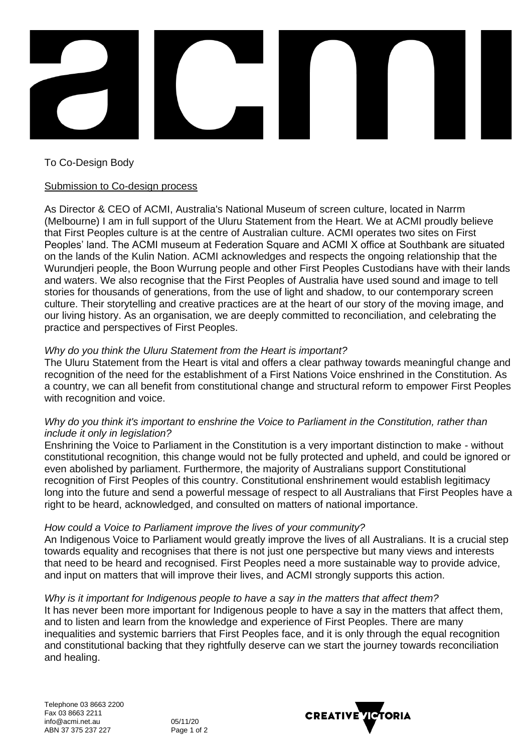

To Co-Design Body

## Submission to Co-design process

As Director & CEO of ACMI, Australia's National Museum of screen culture, located in Narrm (Melbourne) I am in full support of the Uluru Statement from the Heart. We at ACMI proudly believe that First Peoples culture is at the centre of Australian culture. ACMI operates two sites on First Peoples' land. The ACMI museum at Federation Square and ACMI X office at Southbank are situated on the lands of the Kulin Nation. ACMI acknowledges and respects the ongoing relationship that the Wurundjeri people, the Boon Wurrung people and other First Peoples Custodians have with their lands and waters. We also recognise that the First Peoples of Australia have used sound and image to tell stories for thousands of generations, from the use of light and shadow, to our contemporary screen culture. Their storytelling and creative practices are at the heart of our story of the moving image, and our living history. As an organisation, we are deeply committed to reconciliation, and celebrating the practice and perspectives of First Peoples.

## *Why do you think the Uluru Statement from the Heart is important?*

The Uluru Statement from the Heart is vital and offers a clear pathway towards meaningful change and recognition of the need for the establishment of a First Nations Voice enshrined in the Constitution. As a country, we can all benefit from constitutional change and structural reform to empower First Peoples with recognition and voice.

## *Why do you think it's important to enshrine the Voice to Parliament in the Constitution, rather than include it only in legislation?*

Enshrining the Voice to Parliament in the Constitution is a very important distinction to make - without constitutional recognition, this change would not be fully protected and upheld, and could be ignored or even abolished by parliament. Furthermore, the majority of Australians support Constitutional recognition of First Peoples of this country. Constitutional enshrinement would establish legitimacy long into the future and send a powerful message of respect to all Australians that First Peoples have a right to be heard, acknowledged, and consulted on matters of national importance.

# *How could a Voice to Parliament improve the lives of your community?*

An Indigenous Voice to Parliament would greatly improve the lives of all Australians. It is a crucial step towards equality and recognises that there is not just one perspective but many views and interests that need to be heard and recognised. First Peoples need a more sustainable way to provide advice, and input on matters that will improve their lives, and ACMI strongly supports this action.

# *Why is it important for Indigenous people to have a say in the matters that affect them?*

It has never been more important for Indigenous people to have a say in the matters that affect them, and to listen and learn from the knowledge and experience of First Peoples. There are many inequalities and systemic barriers that First Peoples face, and it is only through the equal recognition and constitutional backing that they rightfully deserve can we start the journey towards reconciliation and healing.

05/11/20 Page 1 of 2